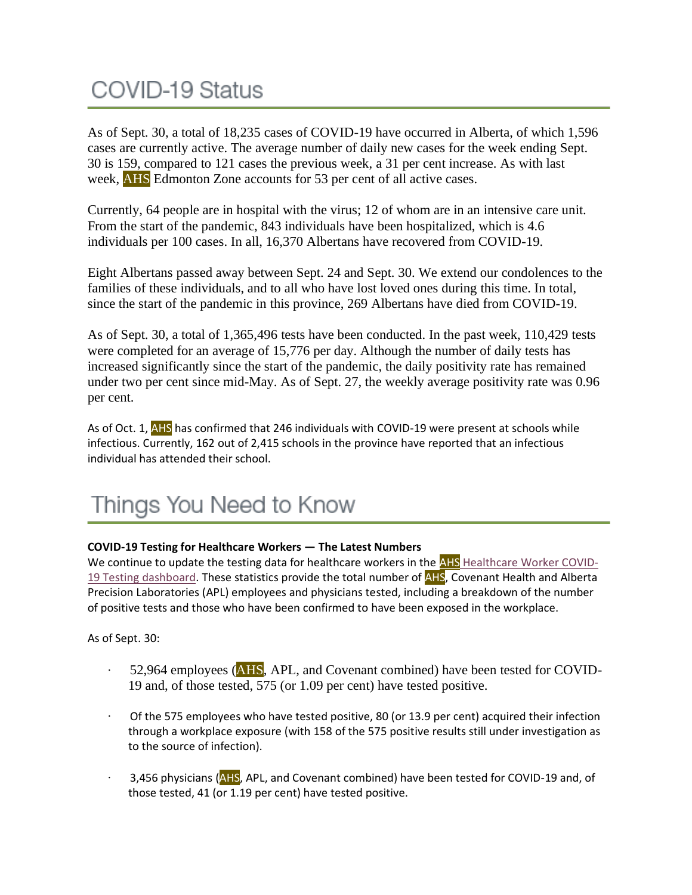## **COVID-19 Status**

As of Sept. 30, a total of 18,235 cases of COVID-19 have occurred in Alberta, of which 1,596 cases are currently active. The average number of daily new cases for the week ending Sept. 30 is 159, compared to 121 cases the previous week, a 31 per cent increase. As with last week, AHS Edmonton Zone accounts for 53 per cent of all active cases.

Currently, 64 people are in hospital with the virus; 12 of whom are in an intensive care unit. From the start of the pandemic, 843 individuals have been hospitalized, which is 4.6 individuals per 100 cases. In all, 16,370 Albertans have recovered from COVID-19.

Eight Albertans passed away between Sept. 24 and Sept. 30. We extend our condolences to the families of these individuals, and to all who have lost loved ones during this time. In total, since the start of the pandemic in this province, 269 Albertans have died from COVID-19.

As of Sept. 30, a total of 1,365,496 tests have been conducted. In the past week, 110,429 tests were completed for an average of 15,776 per day. Although the number of daily tests has increased significantly since the start of the pandemic, the daily positivity rate has remained under two per cent since mid-May. As of Sept. 27, the weekly average positivity rate was 0.96 per cent.

As of Oct. 1, AHS has confirmed that 246 individuals with COVID-19 were present at schools while infectious. Currently, 162 out of 2,415 schools in the province have reported that an infectious individual has attended their school.

# Things You Need to Know

### **COVID-19 Testing for Healthcare Workers — The Latest Numbers**

We continue to update the testing data for healthcare workers in the **AHS** [Healthcare](https://tableau.albertahealthservices.ca/#/views/AHSEmployeePhysicianCOVID-19TestSurveillanceDashboard/Introduction?:iid=1) Worker COVID19 Testing [dashboard.](https://tableau.albertahealthservices.ca/#/views/AHSEmployeePhysicianCOVID-19TestSurveillanceDashboard/Introduction?:iid=1) These statistics provide the total number of AHS, Covenant Health and Alberta Precision Laboratories (APL) employees and physicians tested, including a breakdown of the number of positive tests and those who have been confirmed to have been exposed in the workplace.

As of Sept. 30:

- 52,964 employees (AHS, APL, and Covenant combined) have been tested for COVID-19 and, of those tested, 575 (or 1.09 per cent) have tested positive.
- · Of the 575 employees who have tested positive, 80 (or 13.9 per cent) acquired their infection through a workplace exposure (with 158 of the 575 positive results still under investigation as to the source of infection).
- · 3,456 physicians (AHS, APL, and Covenant combined) have been tested for COVID-19 and, of those tested, 41 (or 1.19 per cent) have tested positive.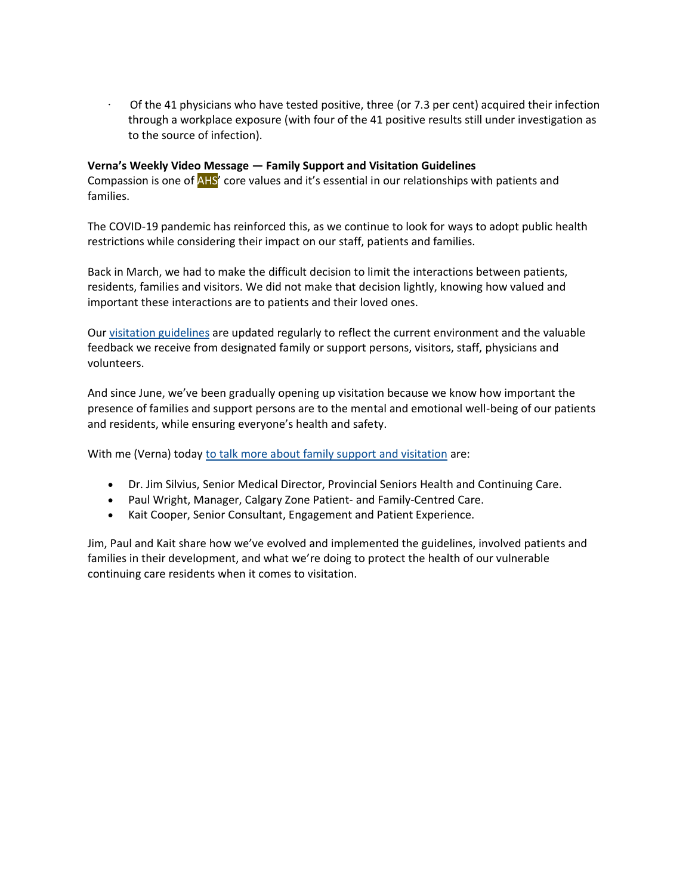Of the 41 physicians who have tested positive, three (or 7.3 per cent) acquired their infection through a workplace exposure (with four of the 41 positive results still under investigation as to the source of infection).

### **Verna's Weekly Video Message — Family Support and Visitation Guidelines**

Compassion is one of AHS' core values and it's essential in our relationships with patients and families.

The COVID-19 pandemic has reinforced this, as we continue to look for ways to adopt public health restrictions while considering their impact on our staff, patients and families.

Back in March, we had to make the difficult decision to limit the interactions between patients, residents, families and visitors. We did not make that decision lightly, knowing how valued and important these interactions are to patients and their loved ones.

Our [visitation guidelines](https://www.albertahealthservices.ca/topics/Page17001.aspx) are updated regularly to reflect the current environment and the valuable feedback we receive from designated family or support persons, visitors, staff, physicians and volunteers.

And since June, we've been gradually opening up visitation because we know how important the presence of families and support persons are to the mental and emotional well-being of our patients and residents, while ensuring everyone's health and safety.

With me (Verna) today [to talk more about family support and visitation](https://www.albertahealthservices.ca/Blogs/ceo/292.aspx#.X3dh-GhKiUk) are:

- Dr. Jim Silvius, Senior Medical Director, Provincial Seniors Health and Continuing Care.
- Paul Wright, Manager, Calgary Zone Patient- and Family-Centred Care.
- Kait Cooper, Senior Consultant, Engagement and Patient Experience.

Jim, Paul and Kait share how we've evolved and implemented the guidelines, involved patients and families in their development, and what we're doing to protect the health of our vulnerable continuing care residents when it comes to visitation.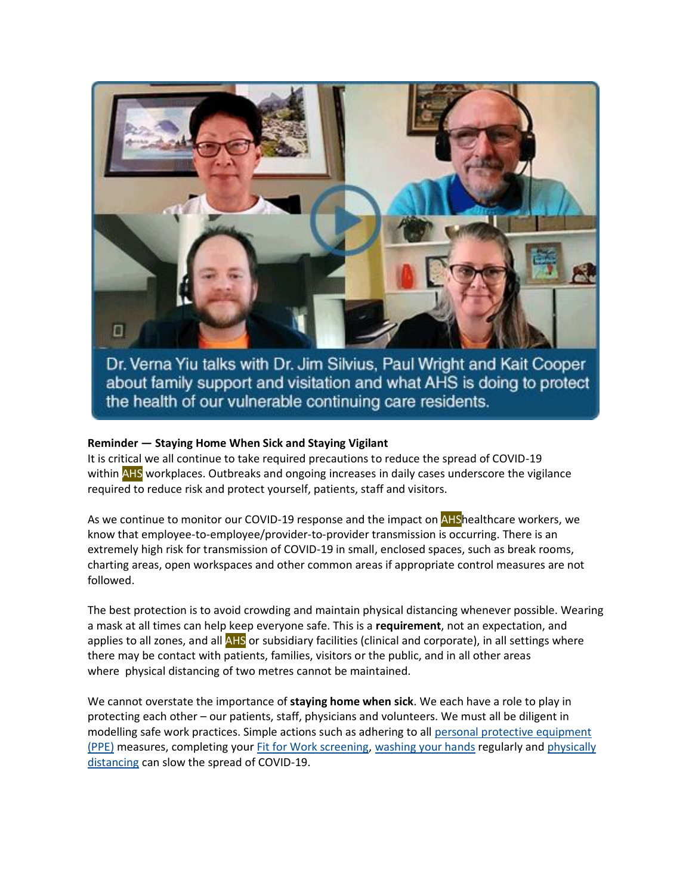

Dr. Verna Yiu talks with Dr. Jim Silvius, Paul Wright and Kait Cooper about family support and visitation and what AHS is doing to protect the health of our vulnerable continuing care residents.

### **Reminder — Staying Home When Sick and Staying Vigilant**

It is critical we all continue to take required precautions to reduce the spread of COVID-19 within AHS workplaces. Outbreaks and ongoing increases in daily cases underscore the vigilance required to reduce risk and protect yourself, patients, staff and visitors.

As we continue to monitor our COVID-19 response and the impact on **AHS**healthcare workers, we know that employee-to-employee/provider-to-provider transmission is occurring. There is an extremely high risk for transmission of COVID-19 in small, enclosed spaces, such as break rooms, charting areas, open workspaces and other common areas if appropriate control measures are not followed.

The best protection is to avoid crowding and maintain physical distancing whenever possible. Wearing a mask at all times can help keep everyone safe. This is a **requirement**, not an expectation, and applies to all zones, and all **AHS** or subsidiary facilities (clinical and corporate), in all settings where there may be contact with patients, families, visitors or the public, and in all other areas where physical distancing of two metres cannot be maintained.

We cannot overstate the importance of **staying home when sick**. We each have a role to play in protecting each other – our patients, staff, physicians and volunteers. We must all be diligent in modelling safe work practices. Simple actions such as adhering to all [personal protective equipment](https://www.albertahealthservices.ca/topics/Page17048.aspx)  [\(PPE\)](https://www.albertahealthservices.ca/topics/Page17048.aspx) measures, completing your [Fit for Work screening,](https://www.albertahealthservices.ca/topics/Page17076.aspx) [washing your hands](https://www.albertahealthservices.ca/info/Page6426.aspx) regularly and [physically](https://www.albertahealthservices.ca/topics/Page16997.aspx#social)  [distancing](https://www.albertahealthservices.ca/topics/Page16997.aspx#social) can slow the spread of COVID-19.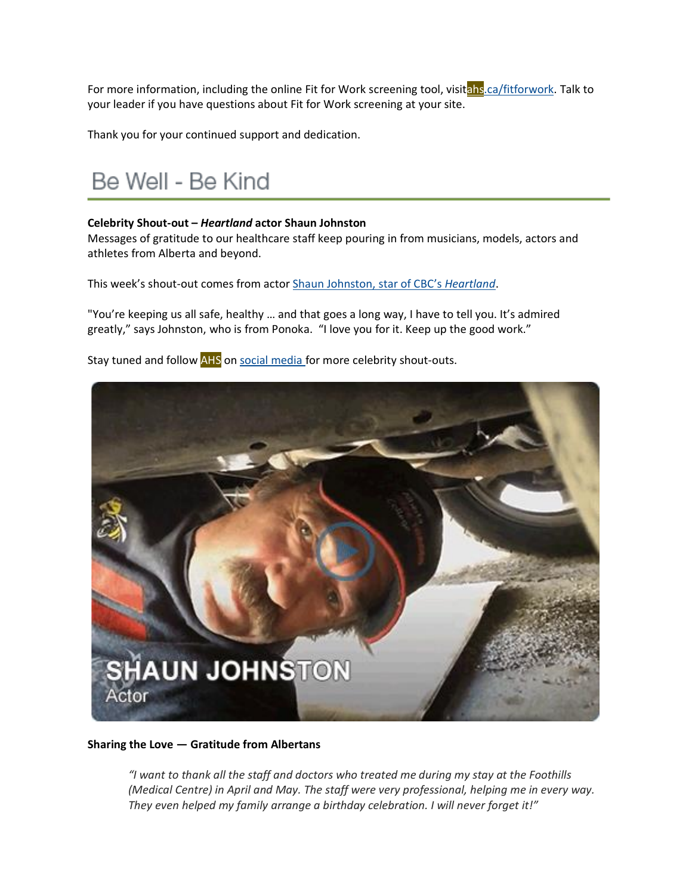For more information, including the online Fit for Work screening tool, visi[tahs.ca/fitforwork.](https://www.albertahealthservices.ca/topics/Page17076.aspx) Talk to your leader if you have questions about Fit for Work screening at your site.

Thank you for your continued support and dedication.

## Be Well - Be Kind

### **Celebrity Shout-out –** *Heartland* **actor Shaun Johnston**

Messages of gratitude to our healthcare staff keep pouring in from musicians, models, actors and athletes from Alberta and beyond.

This week's shout-out comes from actor Shaun Johnston, star of CBC's *[Heartland](https://www.youtube.com/watch?v=MAT4h7Qukt4&feature=youtu.be)*.

"You're keeping us all safe, healthy … and that goes a long way, I have to tell you. It's admired greatly," says Johnston, who is from Ponoka. "I love you for it. Keep up the good work."

Stay tuned and follow AHS on social [media](https://www.instagram.com/albertahealthservices/) for more celebrity shout-outs.



### **Sharing the Love — Gratitude from Albertans**

*"I want to thank all the staff and doctors who treated me during my stay at the Foothills (Medical Centre) in April and May. The staff were very professional, helping me in every way. They even helped my family arrange a birthday celebration. I will never forget it!"*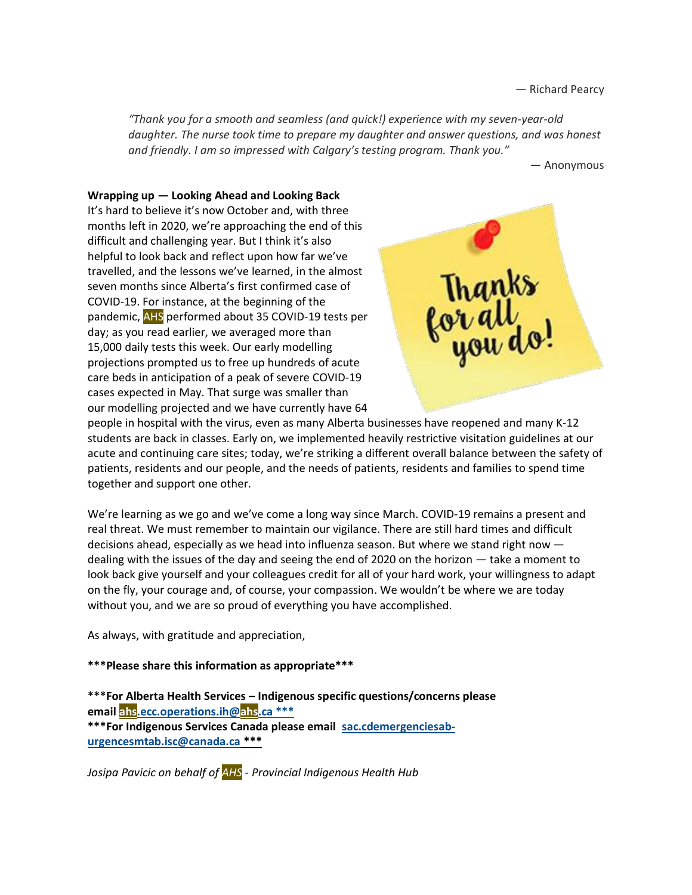*"Thank you for a smooth and seamless (and quick!) experience with my seven-year-old daughter. The nurse took time to prepare my daughter and answer questions, and was honest and friendly. I am so impressed with Calgary's testing program. Thank you."*

— Anonymous

### **Wrapping up — Looking Ahead and Looking Back**

It's hard to believe it's now October and, with three months left in 2020, we're approaching the end of this difficult and challenging year. But I think it's also helpful to look back and reflect upon how far we've travelled, and the lessons we've learned, in the almost seven months since Alberta's first confirmed case of COVID-19. For instance, at the beginning of the pandemic, AHS performed about 35 COVID-19 tests per day; as you read earlier, we averaged more than 15,000 daily tests this week. Our early modelling projections prompted us to free up hundreds of acute care beds in anticipation of a peak of severe COVID-19 cases expected in May. That surge was smaller than our modelling projected and we have currently have 64



people in hospital with the virus, even as many Alberta businesses have reopened and many K-12 students are back in classes. Early on, we implemented heavily restrictive visitation guidelines at our acute and continuing care sites; today, we're striking a different overall balance between the safety of patients, residents and our people, and the needs of patients, residents and families to spend time together and support one other.

We're learning as we go and we've come a long way since March. COVID-19 remains a present and real threat. We must remember to maintain our vigilance. There are still hard times and difficult decisions ahead, especially as we head into influenza season. But where we stand right now dealing with the issues of the day and seeing the end of 2020 on the horizon — take a moment to look back give yourself and your colleagues credit for all of your hard work, your willingness to adapt on the fly, your courage and, of course, your compassion. We wouldn't be where we are today without you, and we are so proud of everything you have accomplished.

As always, with gratitude and appreciation,

### **\*\*\*Please share this information as appropriate\*\*\***

**\*\*\*For Alberta Health Services – Indigenous specific questions/concerns please email [ahs.ecc.operations.ih@ahs.ca \\*\\*\\*](mailto:ahs.ecc.operations.ih@ahs.ca%20***) \*\*\*For Indigenous Services Canada please email [sac.cdemergenciesab](mailto:sac.cdemergenciesab-urgencesmtab.isc@canada.ca)[urgencesmtab.isc@canada.ca](mailto:sac.cdemergenciesab-urgencesmtab.isc@canada.ca) \*\*\***

*Josipa Pavicic on behalf of AHS - Provincial Indigenous Health Hub*